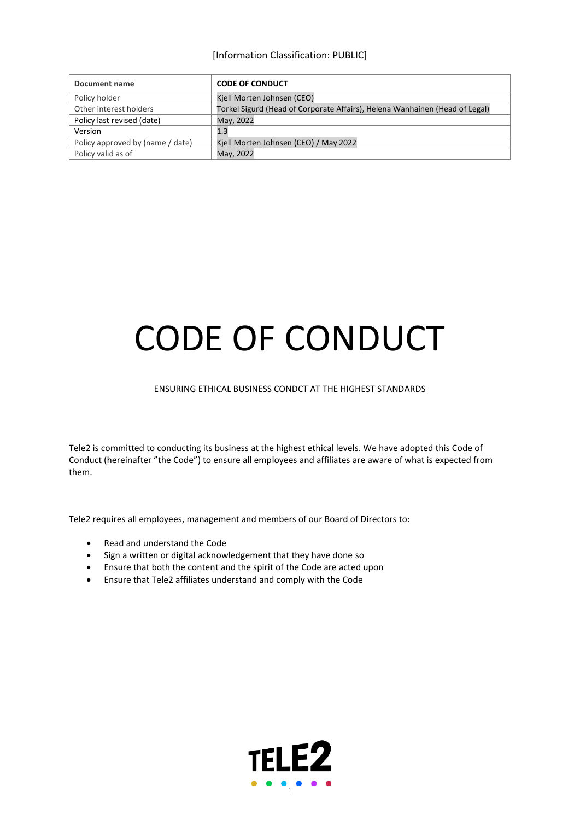[Information Classification: PUBLIC]

| Document name                    | <b>CODE OF CONDUCT</b>                                                      |
|----------------------------------|-----------------------------------------------------------------------------|
| Policy holder                    | Kjell Morten Johnsen (CEO)                                                  |
| Other interest holders           | Torkel Sigurd (Head of Corporate Affairs), Helena Wanhainen (Head of Legal) |
| Policy last revised (date)       | May, 2022                                                                   |
| Version                          | 1.3                                                                         |
| Policy approved by (name / date) | Kiell Morten Johnsen (CEO) / May 2022                                       |
| Policy valid as of               | May, 2022                                                                   |

# CODE OF CONDUCT

#### ENSURING ETHICAL BUSINESS CONDCT AT THE HIGHEST STANDARDS

Tele2 is committed to conducting its business at the highest ethical levels. We have adopted this Code of Conduct (hereinafter "the Code") to ensure all employees and affiliates are aware of what is expected from them.

Tele2 requires all employees, management and members of our Board of Directors to:

- Read and understand the Code
- Sign a written or digital acknowledgement that they have done so
- Ensure that both the content and the spirit of the Code are acted upon
- Ensure that Tele2 affiliates understand and comply with the Code

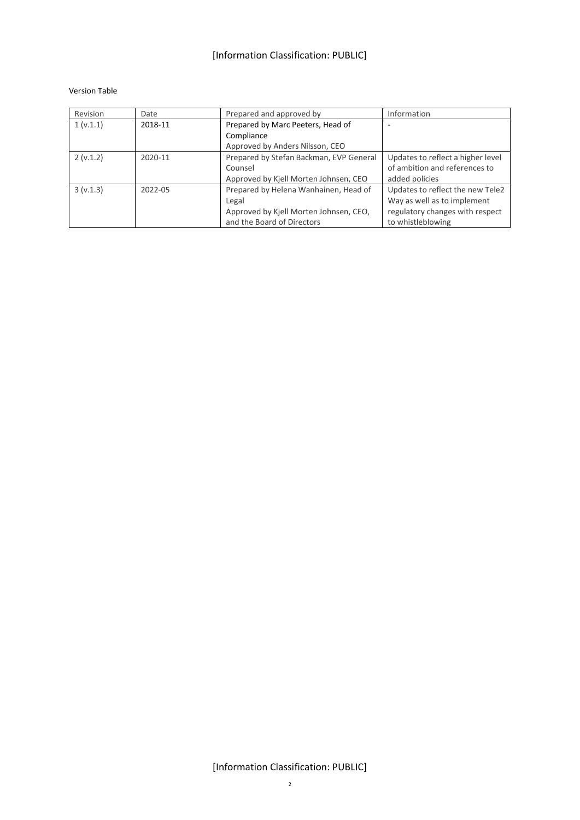#### Version Table

| Revision  | Date    | Prepared and approved by                | Information                       |
|-----------|---------|-----------------------------------------|-----------------------------------|
| 1 (v.1.1) | 2018-11 | Prepared by Marc Peeters, Head of       |                                   |
|           |         | Compliance                              |                                   |
|           |         | Approved by Anders Nilsson, CEO         |                                   |
| 2(v.1.2)  | 2020-11 | Prepared by Stefan Backman, EVP General | Updates to reflect a higher level |
|           |         | Counsel                                 | of ambition and references to     |
|           |         | Approved by Kjell Morten Johnsen, CEO   | added policies                    |
| 3(v.1.3)  | 2022-05 | Prepared by Helena Wanhainen, Head of   | Updates to reflect the new Tele2  |
|           |         | Legal                                   | Way as well as to implement       |
|           |         | Approved by Kjell Morten Johnsen, CEO,  | regulatory changes with respect   |
|           |         | and the Board of Directors              | to whistleblowing                 |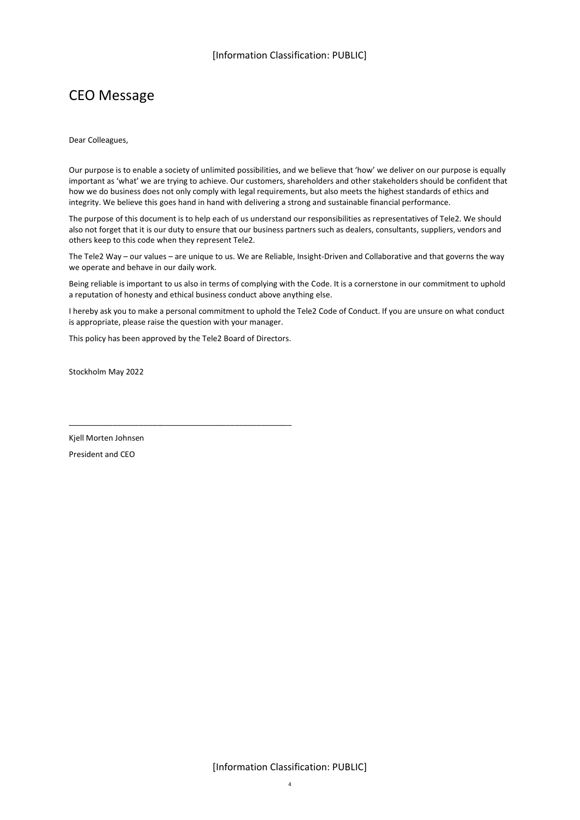# <span id="page-3-0"></span>CEO Message

Dear Colleagues,

Our purpose is to enable a society of unlimited possibilities, and we believe that 'how' we deliver on our purpose is equally important as 'what' we are trying to achieve. Our customers, shareholders and other stakeholders should be confident that how we do business does not only comply with legal requirements, but also meets the highest standards of ethics and integrity. We believe this goes hand in hand with delivering a strong and sustainable financial performance.

The purpose of this document is to help each of us understand our responsibilities as representatives of Tele2. We should also not forget that it is our duty to ensure that our business partners such as dealers, consultants, suppliers, vendors and others keep to this code when they represent Tele2.

The Tele2 Way – our values – are unique to us. We are Reliable, Insight-Driven and Collaborative and that governs the way we operate and behave in our daily work.

Being reliable is important to us also in terms of complying with the Code. It is a cornerstone in our commitment to uphold a reputation of honesty and ethical business conduct above anything else.

I hereby ask you to make a personal commitment to uphold the Tele2 Code of Conduct. If you are unsure on what conduct is appropriate, please raise the question with your manager.

This policy has been approved by the Tele2 Board of Directors.

\_\_\_\_\_\_\_\_\_\_\_\_\_\_\_\_\_\_\_\_\_\_\_\_\_\_\_\_\_\_\_\_\_\_\_\_\_\_\_\_\_\_\_\_\_\_\_\_\_\_\_

Stockholm May 2022

Kjell Morten Johnsen President and CEO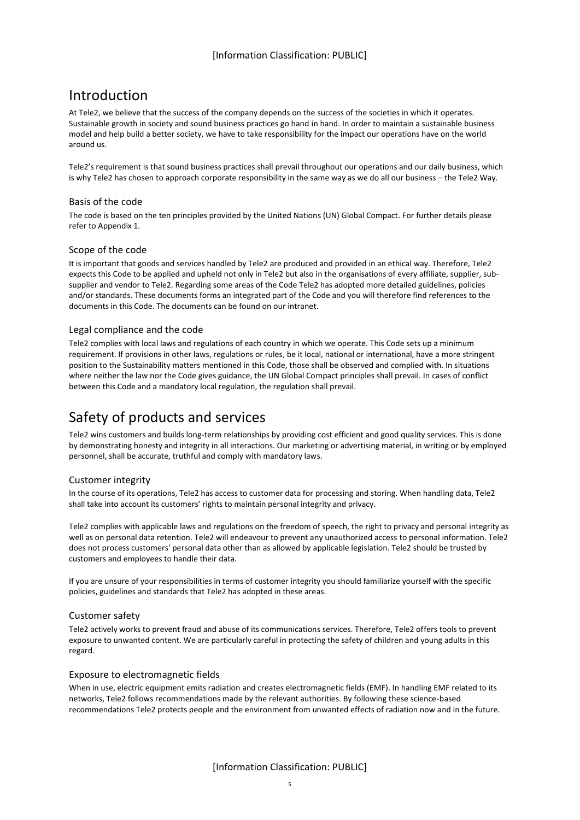# <span id="page-4-0"></span>Introduction

At Tele2, we believe that the success of the company depends on the success of the societies in which it operates. Sustainable growth in society and sound business practices go hand in hand. In order to maintain a sustainable business model and help build a better society, we have to take responsibility for the impact our operations have on the world around us.

Tele2's requirement is that sound business practices shall prevail throughout our operations and our daily business, which is why Tele2 has chosen to approach corporate responsibility in the same way as we do all our business – the Tele2 Way.

## <span id="page-4-1"></span>Basis of the code

The code is based on the ten principles provided by the United Nations (UN) Global Compact. For further details please refer to Appendix 1.

## <span id="page-4-2"></span>Scope of the code

It is important that goods and services handled by Tele2 are produced and provided in an ethical way. Therefore, Tele2 expects this Code to be applied and upheld not only in Tele2 but also in the organisations of every affiliate, supplier, subsupplier and vendor to Tele2. Regarding some areas of the Code Tele2 has adopted more detailed guidelines, policies and/or standards. These documents forms an integrated part of the Code and you will therefore find references to the documents in this Code. The documents can be found on our intranet.

## <span id="page-4-3"></span>Legal compliance and the code

Tele2 complies with local laws and regulations of each country in which we operate. This Code sets up a minimum requirement. If provisions in other laws, regulations or rules, be it local, national or international, have a more stringent position to the Sustainability matters mentioned in this Code, those shall be observed and complied with. In situations where neither the law nor the Code gives guidance, the UN Global Compact principles shall prevail. In cases of conflict between this Code and a mandatory local regulation, the regulation shall prevail.

# <span id="page-4-4"></span>Safety of products and services

Tele2 wins customers and builds long-term relationships by providing cost efficient and good quality services. This is done by demonstrating honesty and integrity in all interactions. Our marketing or advertising material, in writing or by employed personnel, shall be accurate, truthful and comply with mandatory laws.

## <span id="page-4-5"></span>Customer integrity

In the course of its operations, Tele2 has access to customer data for processing and storing. When handling data, Tele2 shall take into account its customers' rights to maintain personal integrity and privacy.

Tele2 complies with applicable laws and regulations on the freedom of speech, the right to privacy and personal integrity as well as on personal data retention. Tele2 will endeavour to prevent any unauthorized access to personal information. Tele2 does not process customers' personal data other than as allowed by applicable legislation. Tele2 should be trusted by customers and employees to handle their data.

If you are unsure of your responsibilities in terms of customer integrity you should familiarize yourself with the specific policies, guidelines and standards that Tele2 has adopted in these areas.

#### <span id="page-4-6"></span>Customer safety

Tele2 actively works to prevent fraud and abuse of its communications services. Therefore, Tele2 offers tools to prevent exposure to unwanted content. We are particularly careful in protecting the safety of children and young adults in this regard.

#### <span id="page-4-7"></span>Exposure to electromagnetic fields

When in use, electric equipment emits radiation and creates electromagnetic fields (EMF). In handling EMF related to its networks, Tele2 follows recommendations made by the relevant authorities. By following these science-based recommendations Tele2 protects people and the environment from unwanted effects of radiation now and in the future.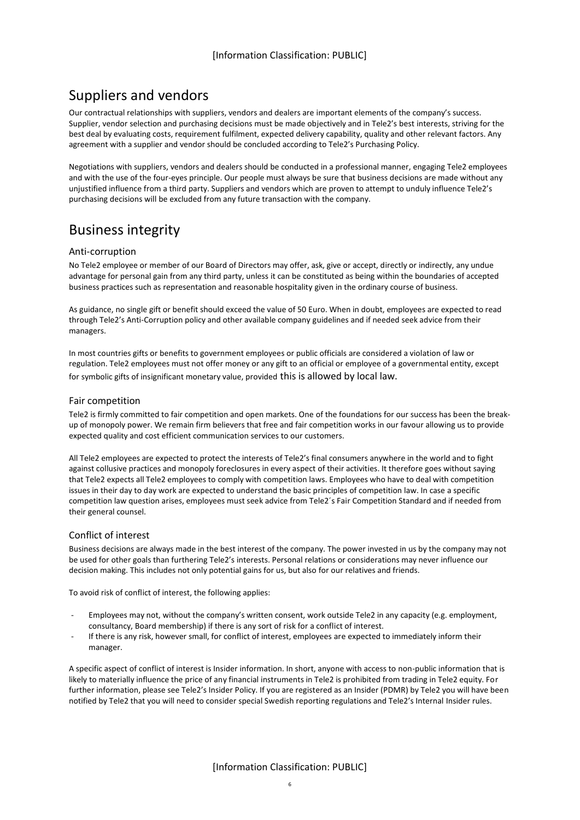# <span id="page-5-0"></span>Suppliers and vendors

Our contractual relationships with suppliers, vendors and dealers are important elements of the company's success. Supplier, vendor selection and purchasing decisions must be made objectively and in Tele2's best interests, striving for the best deal by evaluating costs, requirement fulfilment, expected delivery capability, quality and other relevant factors. Any agreement with a supplier and vendor should be concluded according to Tele2's Purchasing Policy.

Negotiations with suppliers, vendors and dealers should be conducted in a professional manner, engaging Tele2 employees and with the use of the four-eyes principle. Our people must always be sure that business decisions are made without any unjustified influence from a third party. Suppliers and vendors which are proven to attempt to unduly influence Tele2's purchasing decisions will be excluded from any future transaction with the company.

# <span id="page-5-1"></span>Business integrity

## <span id="page-5-2"></span>Anti-corruption

No Tele2 employee or member of our Board of Directors may offer, ask, give or accept, directly or indirectly, any undue advantage for personal gain from any third party, unless it can be constituted as being within the boundaries of accepted business practices such as representation and reasonable hospitality given in the ordinary course of business.

As guidance, no single gift or benefit should exceed the value of 50 Euro. When in doubt, employees are expected to read through Tele2's Anti-Corruption policy and other available company guidelines and if needed seek advice from their managers.

In most countries gifts or benefits to government employees or public officials are considered a violation of law or regulation. Tele2 employees must not offer money or any gift to an official or employee of a governmental entity, except for symbolic gifts of insignificant monetary value, provided this is allowed by local law.

## <span id="page-5-3"></span>Fair competition

Tele2 is firmly committed to fair competition and open markets. One of the foundations for our success has been the breakup of monopoly power. We remain firm believers that free and fair competition works in our favour allowing us to provide expected quality and cost efficient communication services to our customers.

All Tele2 employees are expected to protect the interests of Tele2's final consumers anywhere in the world and to fight against collusive practices and monopoly foreclosures in every aspect of their activities. It therefore goes without saying that Tele2 expects all Tele2 employees to comply with competition laws. Employees who have to deal with competition issues in their day to day work are expected to understand the basic principles of competition law. In case a specific competition law question arises, employees must seek advice from Tele2´s Fair Competition Standard and if needed from their general counsel.

#### <span id="page-5-4"></span>Conflict of interest

Business decisions are always made in the best interest of the company. The power invested in us by the company may not be used for other goals than furthering Tele2's interests. Personal relations or considerations may never influence our decision making. This includes not only potential gains for us, but also for our relatives and friends.

To avoid risk of conflict of interest, the following applies:

- Employees may not, without the company's written consent, work outside Tele2 in any capacity (e.g. employment, consultancy, Board membership) if there is any sort of risk for a conflict of interest.
- If there is any risk, however small, for conflict of interest, employees are expected to immediately inform their manager.

A specific aspect of conflict of interest is Insider information. In short, anyone with access to non-public information that is likely to materially influence the price of any financial instruments in Tele2 is prohibited from trading in Tele2 equity. For further information, please see Tele2's Insider Policy. If you are registered as an Insider (PDMR) by Tele2 you will have been notified by Tele2 that you will need to consider special Swedish reporting regulations and Tele2's Internal Insider rules.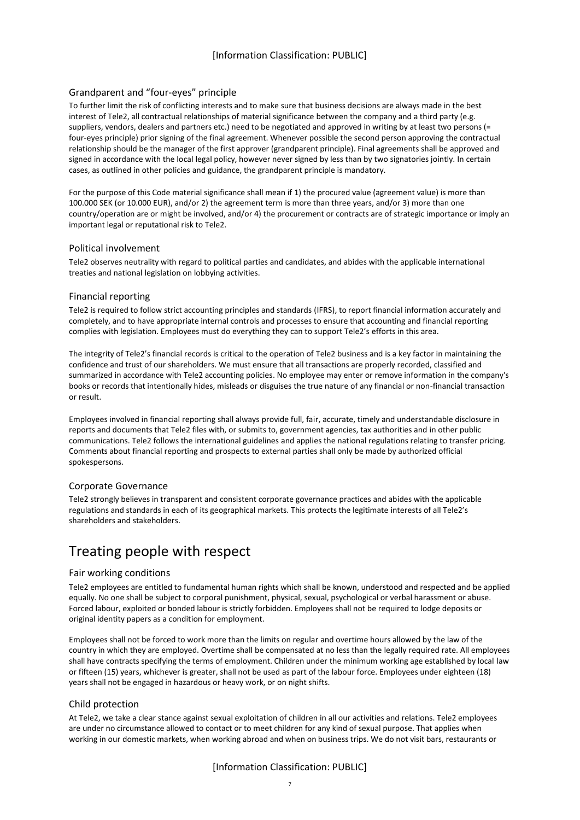## <span id="page-6-0"></span>Grandparent and "four-eyes" principle

To further limit the risk of conflicting interests and to make sure that business decisions are always made in the best interest of Tele2, all contractual relationships of material significance between the company and a third party (e.g. suppliers, vendors, dealers and partners etc.) need to be negotiated and approved in writing by at least two persons (= four-eyes principle) prior signing of the final agreement. Whenever possible the second person approving the contractual relationship should be the manager of the first approver (grandparent principle). Final agreements shall be approved and signed in accordance with the local legal policy, however never signed by less than by two signatories jointly. In certain cases, as outlined in other policies and guidance, the grandparent principle is mandatory.

For the purpose of this Code material significance shall mean if 1) the procured value (agreement value) is more than 100.000 SEK (or 10.000 EUR), and/or 2) the agreement term is more than three years, and/or 3) more than one country/operation are or might be involved, and/or 4) the procurement or contracts are of strategic importance or imply an important legal or reputational risk to Tele2.

#### <span id="page-6-1"></span>Political involvement

Tele2 observes neutrality with regard to political parties and candidates, and abides with the applicable international treaties and national legislation on lobbying activities.

#### <span id="page-6-2"></span>Financial reporting

Tele2 is required to follow strict accounting principles and standards (IFRS), to report financial information accurately and completely, and to have appropriate internal controls and processes to ensure that accounting and financial reporting complies with legislation. Employees must do everything they can to support Tele2's efforts in this area.

The integrity of Tele2's financial records is critical to the operation of Tele2 business and is a key factor in maintaining the confidence and trust of our shareholders. We must ensure that all transactions are properly recorded, classified and summarized in accordance with Tele2 accounting policies. No employee may enter or remove information in the company's books or records that intentionally hides, misleads or disguises the true nature of any financial or non-financial transaction or result.

Employees involved in financial reporting shall always provide full, fair, accurate, timely and understandable disclosure in reports and documents that Tele2 files with, or submits to, government agencies, tax authorities and in other public communications. Tele2 follows the international guidelines and applies the national regulations relating to transfer pricing. Comments about financial reporting and prospects to external parties shall only be made by authorized official spokespersons.

#### <span id="page-6-3"></span>Corporate Governance

Tele2 strongly believes in transparent and consistent corporate governance practices and abides with the applicable regulations and standards in each of its geographical markets. This protects the legitimate interests of all Tele2's shareholders and stakeholders.

# <span id="page-6-4"></span>Treating people with respect

#### <span id="page-6-5"></span>Fair working conditions

Tele2 employees are entitled to fundamental human rights which shall be known, understood and respected and be applied equally. No one shall be subject to corporal punishment, physical, sexual, psychological or verbal harassment or abuse. Forced labour, exploited or bonded labour is strictly forbidden. Employees shall not be required to lodge deposits or original identity papers as a condition for employment.

Employees shall not be forced to work more than the limits on regular and overtime hours allowed by the law of the country in which they are employed. Overtime shall be compensated at no less than the legally required rate. All employees shall have contracts specifying the terms of employment. Children under the minimum working age established by local law or fifteen (15) years, whichever is greater, shall not be used as part of the labour force. Employees under eighteen (18) years shall not be engaged in hazardous or heavy work, or on night shifts.

#### <span id="page-6-6"></span>Child protection

At Tele2, we take a clear stance against sexual exploitation of children in all our activities and relations. Tele2 employees are under no circumstance allowed to contact or to meet children for any kind of sexual purpose. That applies when working in our domestic markets, when working abroad and when on business trips. We do not visit bars, restaurants or

## [Information Classification: PUBLIC]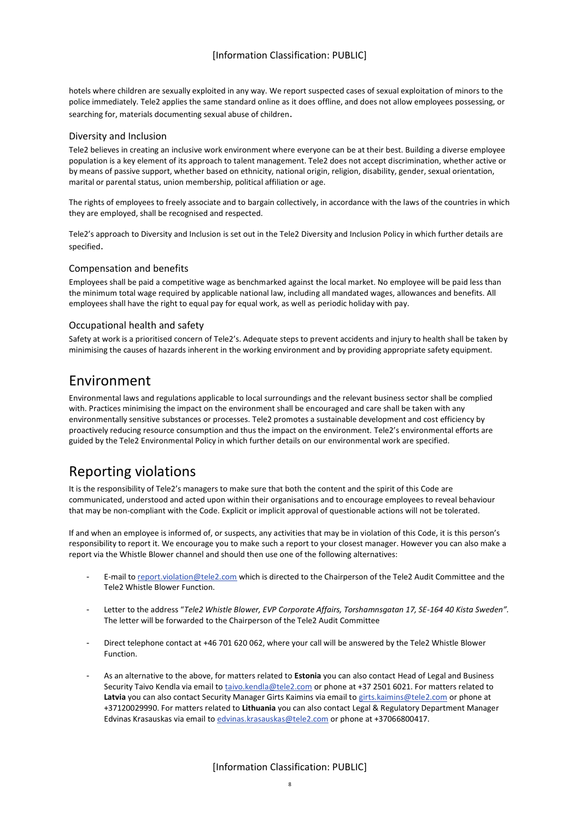hotels where children are sexually exploited in any way. We report suspected cases of sexual exploitation of minors to the police immediately. Tele2 applies the same standard online as it does offline, and does not allow employees possessing, or searching for, materials documenting sexual abuse of children.

#### <span id="page-7-0"></span>Diversity and Inclusion

Tele2 believes in creating an inclusive work environment where everyone can be at their best. Building a diverse employee population is a key element of its approach to talent management. Tele2 does not accept discrimination, whether active or by means of passive support, whether based on ethnicity, national origin, religion, disability, gender, sexual orientation, marital or parental status, union membership, political affiliation or age.

The rights of employees to freely associate and to bargain collectively, in accordance with the laws of the countries in which they are employed, shall be recognised and respected.

Tele2's approach to Diversity and Inclusion is set out in the Tele2 Diversity and Inclusion Policy in which further details are specified.

#### <span id="page-7-1"></span>Compensation and benefits

Employees shall be paid a competitive wage as benchmarked against the local market. No employee will be paid less than the minimum total wage required by applicable national law, including all mandated wages, allowances and benefits. All employees shall have the right to equal pay for equal work, as well as periodic holiday with pay.

#### <span id="page-7-2"></span>Occupational health and safety

Safety at work is a prioritised concern of Tele2's. Adequate steps to prevent accidents and injury to health shall be taken by minimising the causes of hazards inherent in the working environment and by providing appropriate safety equipment.

## <span id="page-7-3"></span>Environment

Environmental laws and regulations applicable to local surroundings and the relevant business sector shall be complied with. Practices minimising the impact on the environment shall be encouraged and care shall be taken with any environmentally sensitive substances or processes. Tele2 promotes a sustainable development and cost efficiency by proactively reducing resource consumption and thus the impact on the environment. Tele2's environmental efforts are guided by the Tele2 Environmental Policy in which further details on our environmental work are specified.

# <span id="page-7-4"></span>Reporting violations

It is the responsibility of Tele2's managers to make sure that both the content and the spirit of this Code are communicated, understood and acted upon within their organisations and to encourage employees to reveal behaviour that may be non-compliant with the Code. Explicit or implicit approval of questionable actions will not be tolerated.

If and when an employee is informed of, or suspects, any activities that may be in violation of this Code, it is this person's responsibility to report it. We encourage you to make such a report to your closest manager. However you can also make a report via the Whistle Blower channel and should then use one of the following alternatives:

- E-mail t[o report.violation@tele2.com](mailto:report.violation@tele2.com) which is directed to the Chairperson of the Tele2 Audit Committee and the Tele2 Whistle Blower Function.
- Letter to the address "*Tele2 Whistle Blower, EVP Corporate Affairs, Torshamnsgatan 17, SE-164 40 Kista Sweden".* The letter will be forwarded to the Chairperson of the Tele2 Audit Committee
- Direct telephone contact at +46 701 620 062, where your call will be answered by the Tele2 Whistle Blower Function.
- As an alternative to the above, for matters related to **Estonia** you can also contact Head of Legal and Business Security Taivo Kendla via email to [taivo.kendla@tele2.com](mailto:taivo.kendla@tele2.com) or phone at +37 2501 6021. For matters related to **Latvia** you can also contact Security Manager Girts Kaimins via email t[o girts.kaimins@tele2.com](mailto:girts.kaimins@tele2.com) or phone at +37120029990. For matters related to **Lithuania** you can also contact Legal & Regulatory Department Manager Edvinas Krasauskas via email to [edvinas.krasauskas@tele2.com](mailto:edvinas.krasauskas@tele2.com) or phone at +37066800417.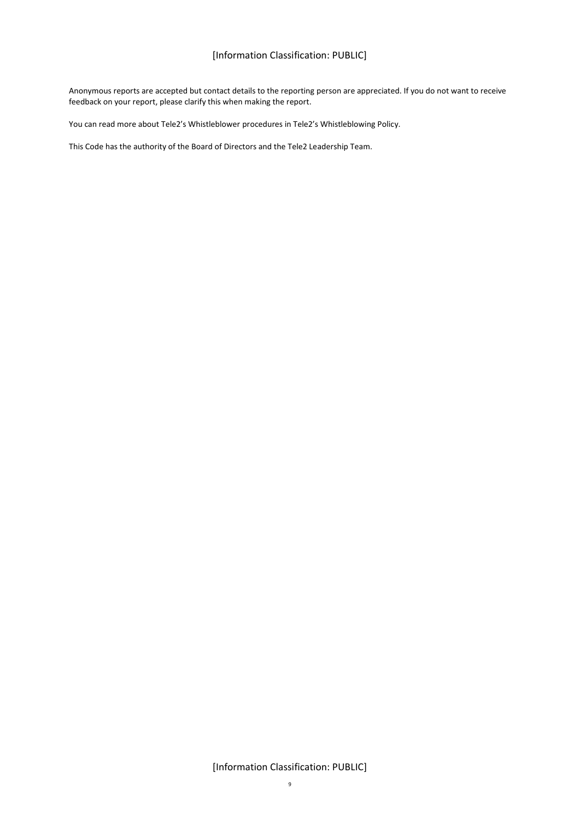## [Information Classification: PUBLIC]

Anonymous reports are accepted but contact details to the reporting person are appreciated. If you do not want to receive feedback on your report, please clarify this when making the report.

You can read more about Tele2's Whistleblower procedures in Tele2's Whistleblowing Policy.

This Code has the authority of the Board of Directors and the Tele2 Leadership Team.